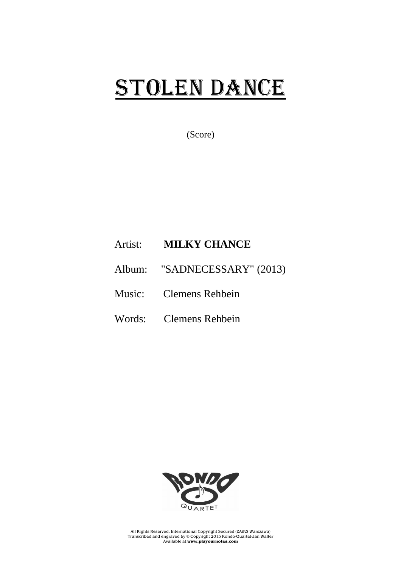## STOLEN DANCE

(Score)

## Artist: **MILKY CHANCE**

- Album: "SADNECESSARY" (2013)
- Music: Clemens Rehbein
- Words: Clemens Rehbein



All Rights Reserved. International Copyright Secured (ZAiKS Warszawa) Transcribed and engraved by © Copyright 2015 Rondo-Quartet-Jan Walter Available at **www.playournotes.com**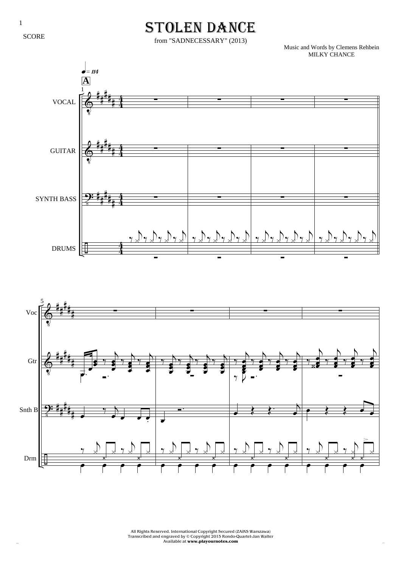SCORE

## STOLEN DANCE

from "SADNECESSARY" (2013)

Music and Words by Clemens Rehbein MILKY CHANCE





All Rights Reserved. International Copyright Secured (ZAiKS Warszawa) Transcribed and engraved by © Copyright 2015 Rondo-Quartet-Jan Walter R.Q. Available at **www.playournotes.com** J.W.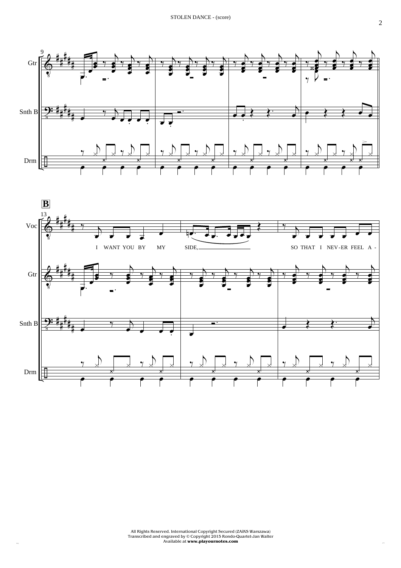



All Rights Reserved. International Copyright Secured (ZAiKS Warszawa) Transcribed and engraved by © Copyright 2015 Rondo-Quartet-Jan Walter Available at **www.playournotes.com** R.Q. J.W.